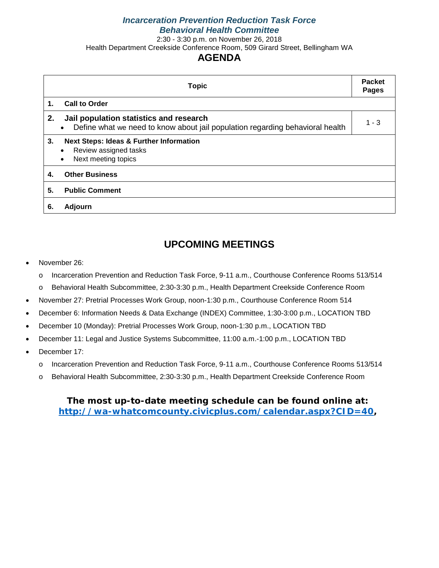#### *Incarceration Prevention Reduction Task Force Behavioral Health Committee*

2:30 - 3:30 p.m. on November 26, 2018

Health Department Creekside Conference Room, 509 Girard Street, Bellingham WA

### **AGENDA**

|    | <b>Topic</b>                                                                                                                          | <b>Packet</b><br><b>Pages</b> |
|----|---------------------------------------------------------------------------------------------------------------------------------------|-------------------------------|
| 1. | <b>Call to Order</b>                                                                                                                  |                               |
| 2. | Jail population statistics and research<br>Define what we need to know about jail population regarding behavioral health<br>$\bullet$ | $1 - 3$                       |
| 3. | <b>Next Steps: Ideas &amp; Further Information</b><br>Review assigned tasks<br>٠<br>Next meeting topics<br>$\bullet$                  |                               |
| 4. | <b>Other Business</b>                                                                                                                 |                               |
| 5. | <b>Public Comment</b>                                                                                                                 |                               |
| 6. | Adjourn                                                                                                                               |                               |

## **UPCOMING MEETINGS**

- November 26:
	- o Incarceration Prevention and Reduction Task Force, 9-11 a.m., Courthouse Conference Rooms 513/514
	- o Behavioral Health Subcommittee, 2:30-3:30 p.m., Health Department Creekside Conference Room
- November 27: Pretrial Processes Work Group, noon-1:30 p.m., Courthouse Conference Room 514
- December 6: Information Needs & Data Exchange (INDEX) Committee, 1:30-3:00 p.m., LOCATION TBD
- December 10 (Monday): Pretrial Processes Work Group, noon-1:30 p.m., LOCATION TBD
- December 11: Legal and Justice Systems Subcommittee, 11:00 a.m.-1:00 p.m., LOCATION TBD
- December 17:
	- o Incarceration Prevention and Reduction Task Force, 9-11 a.m., Courthouse Conference Rooms 513/514
	- o Behavioral Health Subcommittee, 2:30-3:30 p.m., Health Department Creekside Conference Room

### **The most up-to-date meeting schedule can be found online at: [http://wa-whatcomcounty.civicplus.com/calendar.aspx?CID=40,](http://wa-whatcomcounty.civicplus.com/calendar.aspx?CID=40)**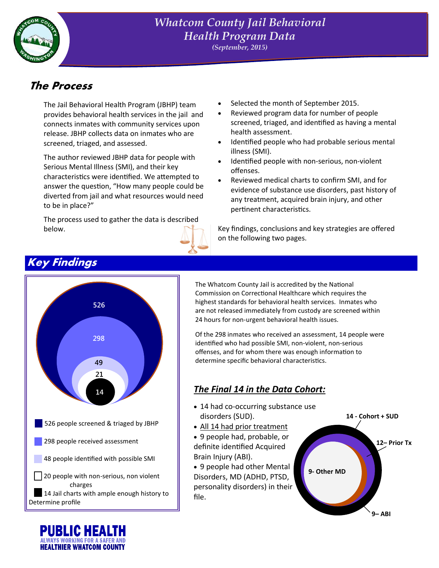

### *Whatcom County Jail Behavioral Health Program Data (September, 2015)*

# **The Process**

The Jail Behavioral Health Program (JBHP) team provides behavioral health services in the jail and connects inmates with community services upon release. JBHP collects data on inmates who are screened, triaged, and assessed.

The author reviewed JBHP data for people with Serious Mental Illness (SMI), and their key characteristics were identified. We attempted to answer the question, "How many people could be diverted from jail and what resources would need to be in place?"

The process used to gather the data is described below.



- Selected the month of September 2015.
- Reviewed program data for number of people screened, triaged, and identified as having a mental health assessment.
- Identified people who had probable serious mental illness (SMI).
- Identified people with non-serious, non-violent offenses.
- Reviewed medical charts to confirm SMI, and for evidence of substance use disorders, past history of any treatment, acquired brain injury, and other pertinent characteristics.

Key findings, conclusions and key strategies are offered on the following two pages.



The Whatcom County Jail is accredited by the National Commission on Correctional Healthcare which requires the highest standards for behavioral health services. Inmates who are not released immediately from custody are screened within 24 hours for non-urgent behavioral health issues.

Of the 298 inmates who received an assessment, 14 people were identified who had possible SMI, non-violent, non-serious offenses, and for whom there was enough information to determine specific behavioral characteristics.

# **<sup>14</sup>** *The Final 14 in the Data Cohort:*

- 14 had co-occurring substance use disorders (SUD).
- All 14 had prior treatment
- 9 people had, probable, or definite identified Acquired Brain Injury (ABI).
- 9 people had other Mental Disorders, MD (ADHD, PTSD, personality disorders) in their file.

**14 - Cohort + SUD 12– Prior Tx 9- Other MD**

**9– ABI**



# **Key Findings**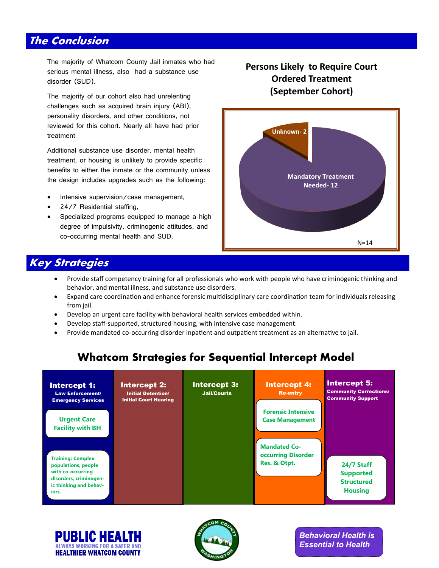# **The Conclusion**

The majority of Whatcom County Jail inmates who had serious mental illness, also had a substance use disorder (SUD).

The majority of our cohort also had unrelenting challenges such as acquired brain injury (ABI), personality disorders, and other conditions, not reviewed for this cohort. Nearly all have had prior treatment

Additional substance use disorder, mental health treatment, or housing is unlikely to provide specific benefits to either the inmate or the community unless the design includes upgrades such as the following:

- Intensive supervision/case management,
- 24/7 Residential staffing,
- Specialized programs equipped to manage a high degree of impulsivity, criminogenic attitudes, and co-occurring mental health and SUD.

### **Persons Likely to Require Court Ordered Treatment (September Cohort)**



## **Key Strategies**

- Provide staff competency training for all professionals who work with people who have criminogenic thinking and behavior, and mental illness, and substance use disorders.
- Expand care coordination and enhance forensic multidisciplinary care coordination team for individuals releasing from jail.
- Develop an urgent care facility with behavioral health services embedded within.
- Develop staff-supported, structured housing, with intensive case management.
- Provide mandated co-occurring disorder inpatient and outpatient treatment as an alternative to jail.

# **Whatcom Strategies for Sequential Intercept Model**